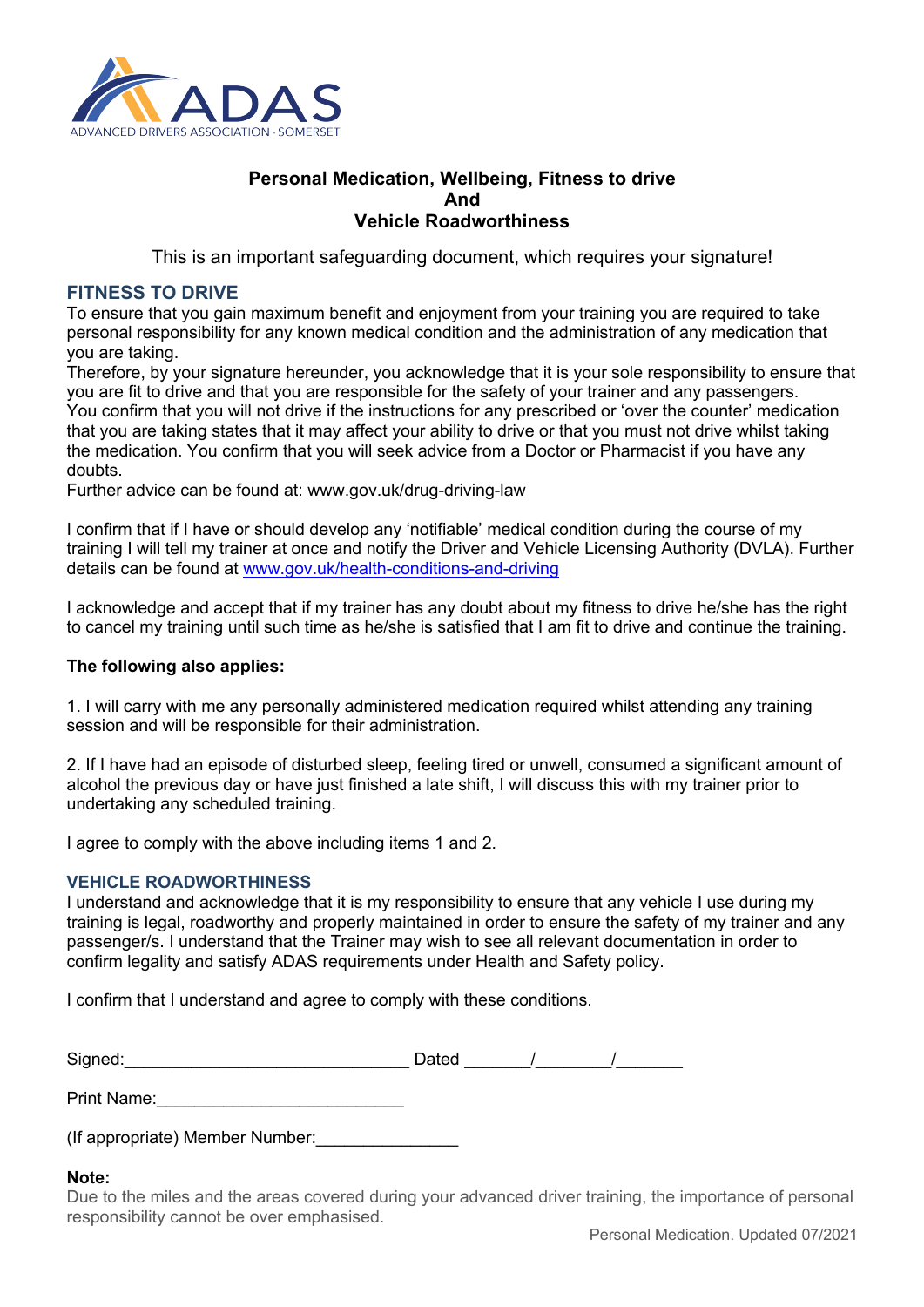

# **Personal Medication, Wellbeing, Fitness to drive And Vehicle Roadworthiness**

This is an important safeguarding document, which requires your signature!

### **FITNESS TO DRIVE**

To ensure that you gain maximum benefit and enjoyment from your training you are required to take personal responsibility for any known medical condition and the administration of any medication that you are taking.

Therefore, by your signature hereunder, you acknowledge that it is your sole responsibility to ensure that you are fit to drive and that you are responsible for the safety of your trainer and any passengers. You confirm that you will not drive if the instructions for any prescribed or 'over the counter' medication that you are taking states that it may affect your ability to drive or that you must not drive whilst taking the medication. You confirm that you will seek advice from a Doctor or Pharmacist if you have any doubts.

Further advice can be found at: www.gov.uk/drug-driving-law

I confirm that if I have or should develop any 'notifiable' medical condition during the course of my training I will tell my trainer at once and notify the Driver and Vehicle Licensing Authority (DVLA). Further details can be found at www.gov.uk/health-conditions-and-driving

I acknowledge and accept that if my trainer has any doubt about my fitness to drive he/she has the right to cancel my training until such time as he/she is satisfied that I am fit to drive and continue the training.

### **The following also applies:**

1. I will carry with me any personally administered medication required whilst attending any training session and will be responsible for their administration.

2. If I have had an episode of disturbed sleep, feeling tired or unwell, consumed a significant amount of alcohol the previous day or have just finished a late shift, I will discuss this with my trainer prior to undertaking any scheduled training.

I agree to comply with the above including items 1 and 2.

### **VEHICLE ROADWORTHINESS**

I understand and acknowledge that it is my responsibility to ensure that any vehicle I use during my training is legal, roadworthy and properly maintained in order to ensure the safety of my trainer and any passenger/s. I understand that the Trainer may wish to see all relevant documentation in order to confirm legality and satisfy ADAS requirements under Health and Safety policy.

I confirm that I understand and agree to comply with these conditions.

| Signed: | Dated |  |
|---------|-------|--|
|         |       |  |

Print Name:

(If appropriate) Member Number:\_\_\_\_\_\_\_\_\_\_\_\_\_\_\_

### **Note:**

Due to the miles and the areas covered during your advanced driver training, the importance of personal responsibility cannot be over emphasised.